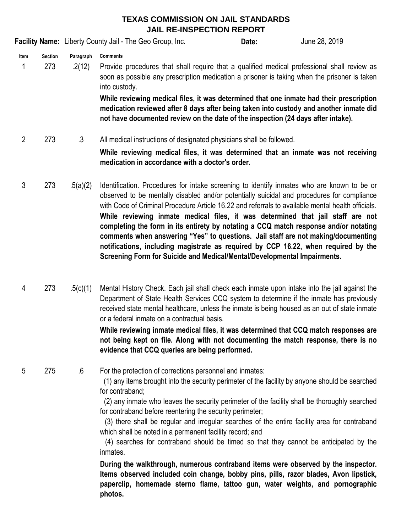## **TEXAS COMMISSION ON JAIL STANDARDS JAIL RE-INSPECTION REPORT**

**Facility Name:** Liberty County Jail - The Geo Group, Inc. **Date:** Date: June 28, 2019

**Item Section Paragraph Comments**

1 273 .2(12) Provide procedures that shall require that a qualified medical professional shall review as soon as possible any prescription medication a prisoner is taking when the prisoner is taken into custody.

> **While reviewing medical files, it was determined that one inmate had their prescription medication reviewed after 8 days after being taken into custody and another inmate did not have documented review on the date of the inspection (24 days after intake).**

**Date:**

2 273 .3 All medical instructions of designated physicians shall be followed.

> **While reviewing medical files, it was determined that an inmate was not receiving medication in accordance with a doctor's order.**

- 3 273 .5(a)(2) **While reviewing inmate medical files, it was determined that jail staff are not completing the form in its entirety by notating a CCQ match response and/or notating comments when answering "Yes" to questions. Jail staff are not making/documenting notifications, including magistrate as required by CCP 16.22, when required by the Screening Form for Suicide and Medical/Mental/Developmental Impairments.** Identification. Procedures for intake screening to identify inmates who are known to be or observed to be mentally disabled and/or potentially suicidal and procedures for compliance with Code of Criminal Procedure Article 16.22 and referrals to available mental health officials.
- 4 273 .5(c)(1) Mental History Check. Each jail shall check each inmate upon intake into the jail against the Department of State Health Services CCQ system to determine if the inmate has previously received state mental healthcare, unless the inmate is being housed as an out of state inmate or a federal inmate on a contractual basis.

## **While reviewing inmate medical files, it was determined that CCQ match responses are not being kept on file. Along with not documenting the match response, there is no evidence that CCQ queries are being performed.**

5 275 .6 For the protection of corrections personnel and inmates:

> (1) any items brought into the security perimeter of the facility by anyone should be searched for contraband;

> (2) any inmate who leaves the security perimeter of the facility shall be thoroughly searched for contraband before reentering the security perimeter;

> (3) there shall be regular and irregular searches of the entire facility area for contraband which shall be noted in a permanent facility record; and

> (4) searches for contraband should be timed so that they cannot be anticipated by the inmates.

> **During the walkthrough, numerous contraband items were observed by the inspector. Items observed included coin change, bobby pins, pills, razor blades, Avon lipstick, paperclip, homemade sterno flame, tattoo gun, water weights, and pornographic photos.**